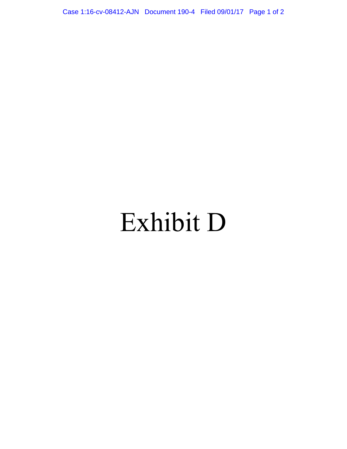Case 1:16-cv-08412-AJN Document 190-4 Filed 09/01/17 Page 1 of 2

# Exhibit D